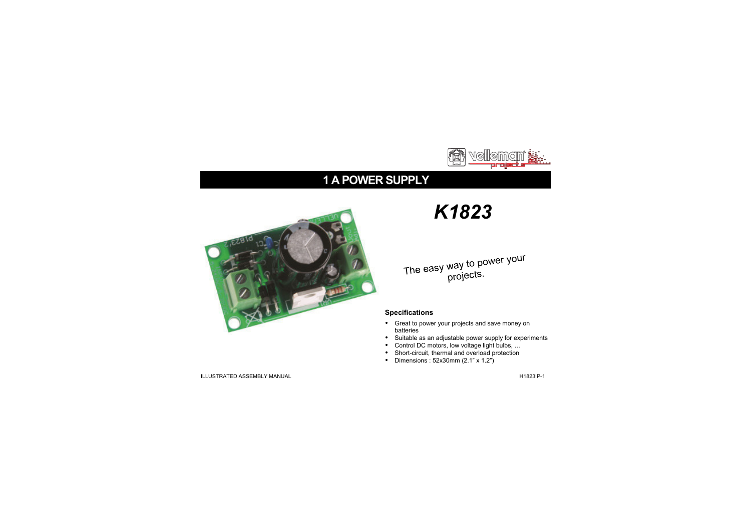

## **1 A POWER SUPPLY**



# *K1823*

## The easy way to power your projects.

### **Specifications**

- Great to power your projects and save money on batteries
- Suitable as an adjustable power supply for experiments
- Control DC motors, low voltage light bulbs, …
- Short-circuit, thermal and overload protection
- Dimensions : 52x30mm (2.1" x 1.2")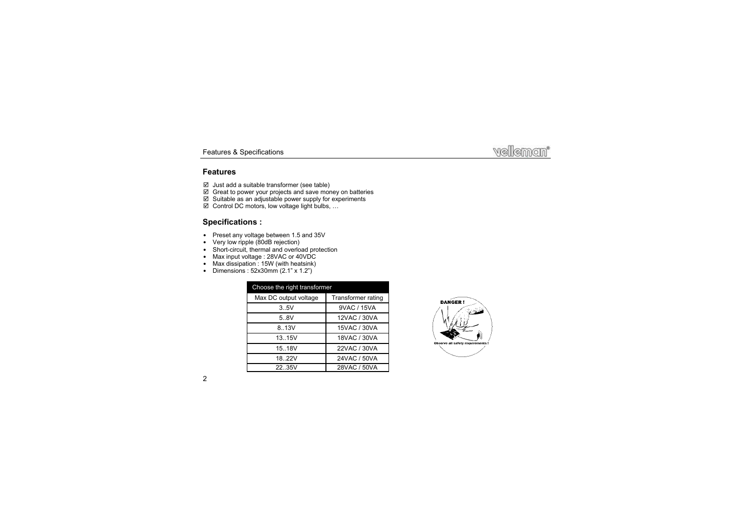### **Features**

- $\boxtimes$  Just add a suitable transformer (see table)
- $\boxtimes$  Great to power your projects and save money on batteries
- $\boxtimes$  Suitable as an adjustable power supply for experiments
- Control DC motors, low voltage light bulbs, …

## **Specifications :**

- Preset any voltage between 1.5 and 35V
- Very low ripple (80dB rejection)
- Short-circuit, thermal and overload protection
- Max input voltage : 28VAC or 40VDC
- Max dissipation : 15W (with heatsink)
- Dimensions :  $52x30mm$  (2.1" x 1.2")

| Choose the right transformer |                    |
|------------------------------|--------------------|
| Max DC output voltage        | Transformer rating |
| 3.5V                         | 9VAC / 15VA        |
| 5.8V                         | 12VAC / 30VA       |
| 8.13V                        | 15VAC / 30VA       |
| 13.15V                       | 18VAC / 30VA       |
| 15.18V                       | 22VAC / 30VA       |
| 18.22V                       | 24VAC / 50VA       |
| 22.35V                       | 28VAC / 50VA       |

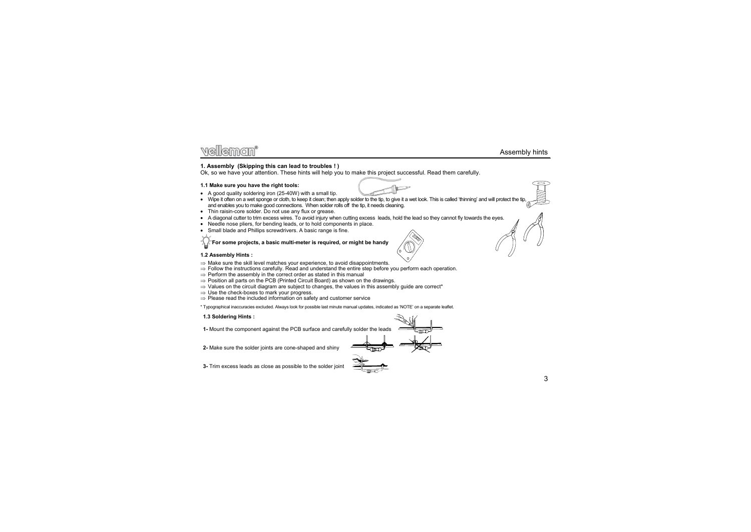#### Assembly hints

#### **1. Assembly (Skipping this can lead to troubles ! )**

Ok, so we have your attention. These hints will help you to make this project successful. Read them carefully.

#### **1.1 Make sure you have the right tools:**

- A good quality soldering iron (25-40W) with a small tip.
- Wipe it often on a wet sponge or cloth, to keep it clean; then apply solder to the tip, to give it a wet look. This is called 'thinning' and will protect the tip, and enables you to make good connections. When solder rolls off the tip, it needs cleaning.
- Thin raisin-core solder. Do not use any flux or grease.
- A diagonal cutter to trim excess wires. To avoid injury when cutting excess leads, hold the lead so they cannot fly towards the eyes.
- Needle nose pliers, for bending leads, or to hold components in place.
- Small blade and Phillips screwdrivers. A basic range is fine.

**For some projects, a basic multi-meter is required, or might be handy** 

#### **1.2 Assembly Hints :**

- $\Rightarrow$  Make sure the skill level matches your experience, to avoid disappointments.
- $\Rightarrow$  Follow the instructions carefully. Read and understand the entire step before you perform each operation.
- $\Rightarrow$  Perform the assembly in the correct order as stated in this manual
- $\Rightarrow$  Position all parts on the PCB (Printed Circuit Board) as shown on the drawings.
- $\Rightarrow$  Values on the circuit diagram are subject to changes, the values in this assembly guide are correct\*
- $\Rightarrow$  Use the check-boxes to mark your progress.
- $\Rightarrow$  Please read the included information on safety and customer service

\* Typographical inaccuracies excluded. Always look for possible last minute manual updates, indicated as 'NOTE' on a separate leaflet.

#### **1.3 Soldering Hints :**

- **1-** Mount the component against the PCB surface and carefully solder the leads
- **2-** Make sure the solder joints are cone-shaped and shiny
- **3-** Trim excess leads as close as possible to the solder joint













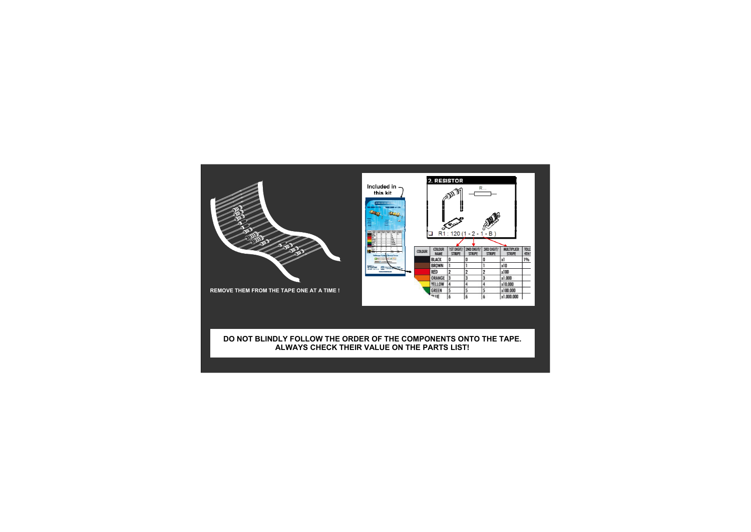

### **DO NOT BLINDLY FOLLOW THE ORDER OF THE COMPONENTS ONTO THE TAPE. ALWAYS CHECK THEIR VALUE ON THE PARTS LIST!**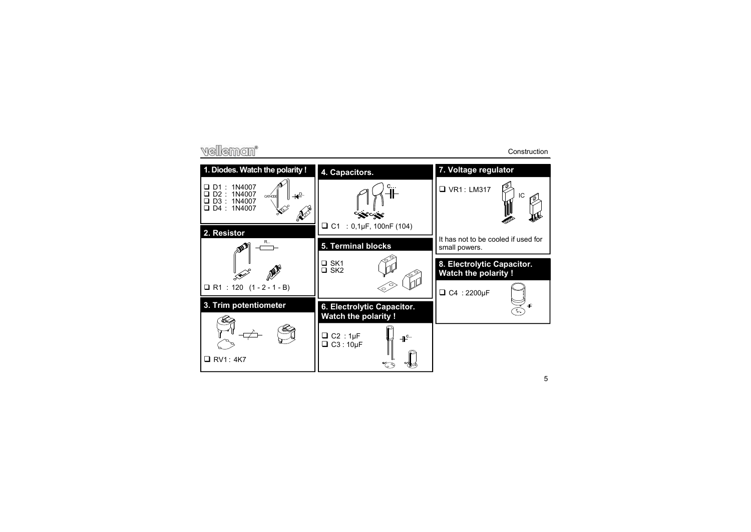## vellemon\*

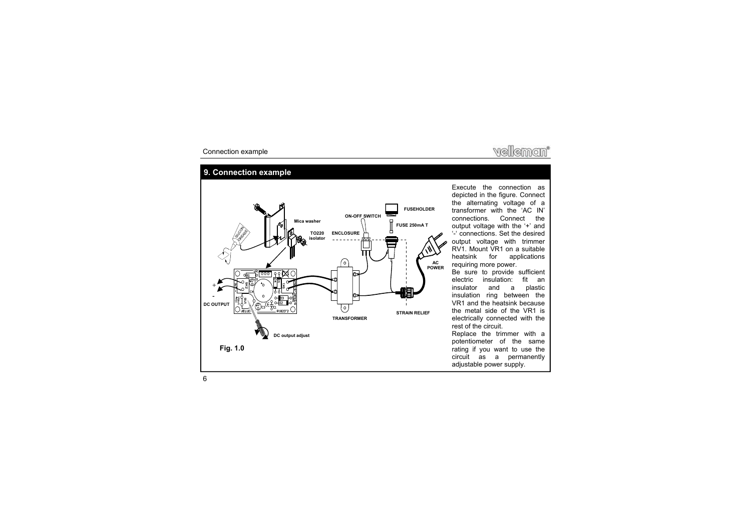

### **9. Connection example**



Execute the connection as depicted in the figure. Connect the alternating voltage of a transformer with the 'AC IN' connections. Connect the output voltage with the '+' and '-' connections. Set the desired output voltage with trimmer RV1. Mount VR1 on a suitable heatsink for applications requiring more power.

Be sure to provide sufficient electric insulation: fit an insulator and a plastic insulation ring between the VR1 and the heatsink because the metal side of the VR1 is electrically connected with the rest of the circuit.

Replace the trimmer with a potentiometer of the same rating if you want to use the circuit as a permanently adjustable power supply.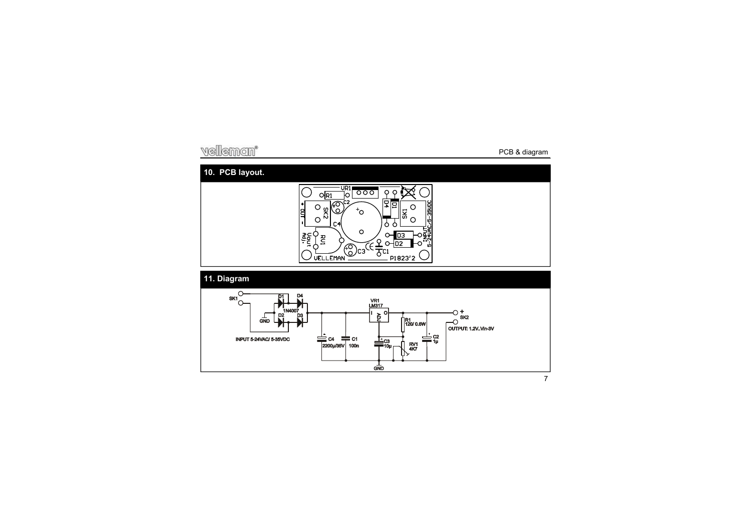## velleman\*

## **10. PCB layout.**



## **11. Diagram**